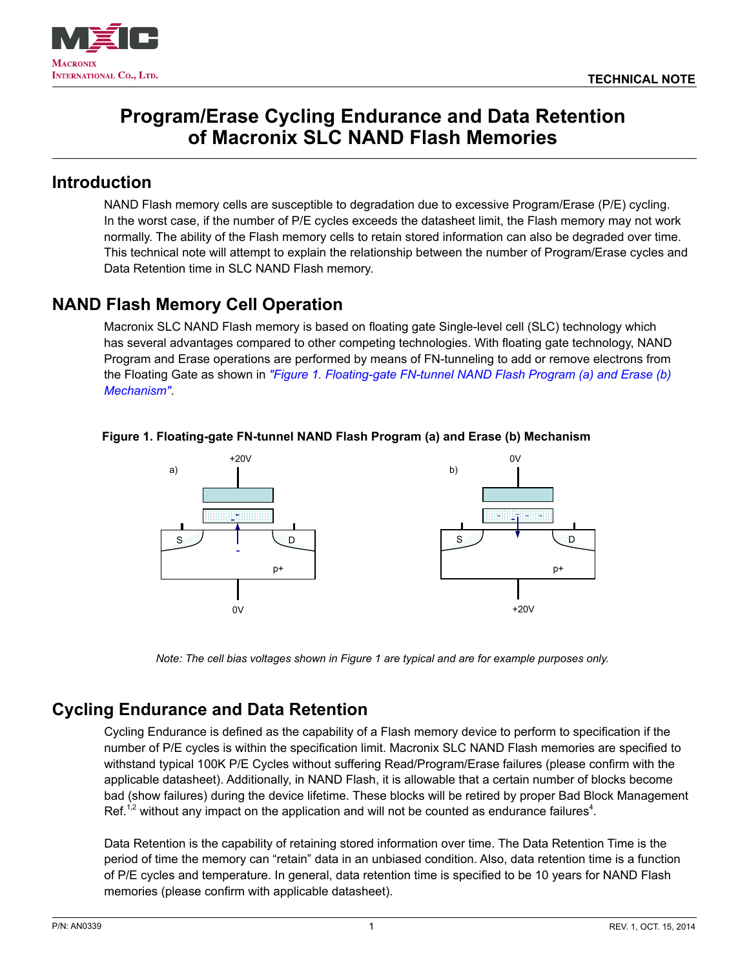



# **Program/Erase Cycling Endurance and Data Retention of Macronix SLC NAND Flash Memories**

### **Introduction**

NAND Flash memory cells are susceptible to degradation due to excessive Program/Erase (P/E) cycling. In the worst case, if the number of P/E cycles exceeds the datasheet limit, the Flash memory may not work normally. The ability of the Flash memory cells to retain stored information can also be degraded over time. This technical note will attempt to explain the relationship between the number of Program/Erase cycles and Data Retention time in SLC NAND Flash memory.

# **NAND Flash Memory Cell Operation**

Macronix SLC NAND Flash memory is based on floating gate Single-level cell (SLC) technology which has several advantages compared to other competing technologies. With floating gate technology, NAND Program and Erase operations are performed by means of FN-tunneling to add or remove electrons from the Floating Gate as shown in *["Figure 1. Floating-gate FN-tunnel NAND Flash Program \(a\) and Erase \(b\)](#page-0-0)  [Mechanism"](#page-0-0)*.

<span id="page-0-0"></span>

#### **Figure 1. Floating-gate FN-tunnel NAND Flash Program (a) and Erase (b) Mechanism**

*Note: The cell bias voltages shown in Figure 1 are typical and are for example purposes only.*

# **Cycling Endurance and Data Retention**

Cycling Endurance is defined as the capability of a Flash memory device to perform to specification if the number of P/E cycles is within the specification limit. Macronix SLC NAND Flash memories are specified to withstand typical 100K P/E Cycles without suffering Read/Program/Erase failures (please confirm with the applicable datasheet). Additionally, in NAND Flash, it is allowable that a certain number of blocks become bad (show failures) during the device lifetime. These blocks will be retired by proper Bad Block Management Ref.<sup>1,2</sup> without any impact on the application and will not be counted as endurance failures<sup>4</sup>.

Data Retention is the capability of retaining stored information over time. The Data Retention Time is the period of time the memory can "retain" data in an unbiased condition. Also, data retention time is a function of P/E cycles and temperature. In general, data retention time is specified to be 10 years for NAND Flash memories (please confirm with applicable datasheet).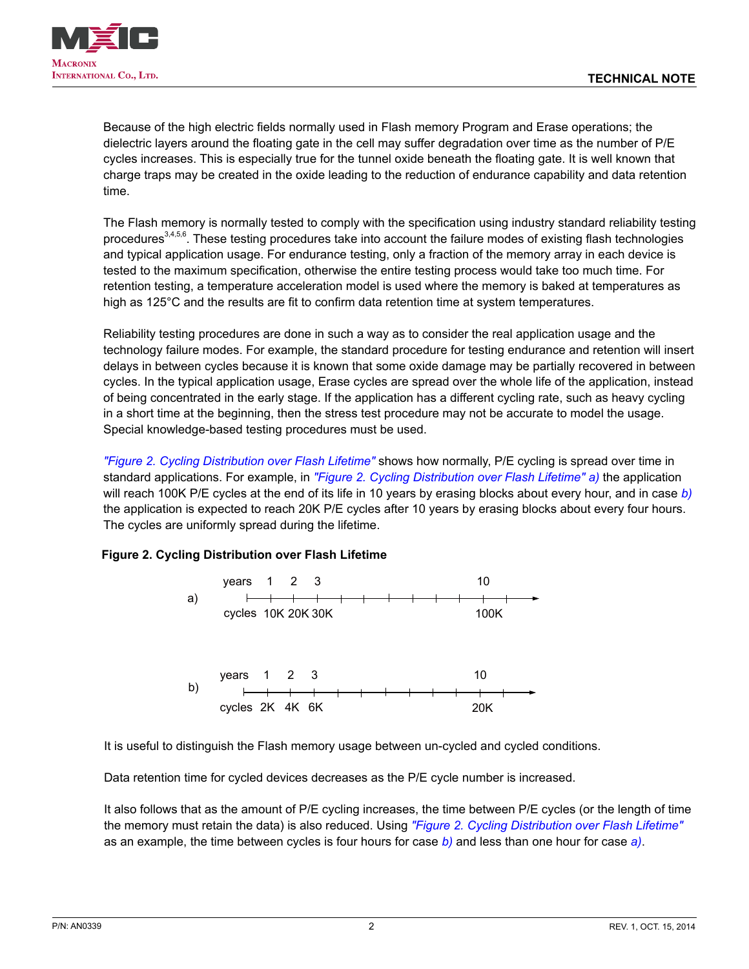

Because of the high electric fields normally used in Flash memory Program and Erase operations; the dielectric layers around the floating gate in the cell may suffer degradation over time as the number of P/E cycles increases. This is especially true for the tunnel oxide beneath the floating gate. It is well known that charge traps may be created in the oxide leading to the reduction of endurance capability and data retention time.

The Flash memory is normally tested to comply with the specification using industry standard reliability testing procedures<sup>3,4,5,6</sup>. These testing procedures take into account the failure modes of existing flash technologies and typical application usage. For endurance testing, only a fraction of the memory array in each device is tested to the maximum specification, otherwise the entire testing process would take too much time. For retention testing, a temperature acceleration model is used where the memory is baked at temperatures as high as 125°C and the results are fit to confirm data retention time at system temperatures.

Reliability testing procedures are done in such a way as to consider the real application usage and the technology failure modes. For example, the standard procedure for testing endurance and retention will insert delays in between cycles because it is known that some oxide damage may be partially recovered in between cycles. In the typical application usage, Erase cycles are spread over the whole life of the application, instead of being concentrated in the early stage. If the application has a different cycling rate, such as heavy cycling in a short time at the beginning, then the stress test procedure may not be accurate to model the usage. Special knowledge-based testing procedures must be used.

*["Figure 2. Cycling Distribution over Flash Lifetime"](#page-1-0)* shows how normally, P/E cycling is spread over time in standard applications. For example, in *["Figure 2. Cycling Distribution over Flash Lifetime"](#page-1-0) a)* the application will reach 100K P/E cycles at the end of its life in 10 years by erasing blocks about every hour, and in case *b)* the application is expected to reach 20K P/E cycles after 10 years by erasing blocks about every four hours. The cycles are uniformly spread during the lifetime.

#### **Figure 2. Cycling Distribution over Flash Lifetime**

<span id="page-1-0"></span>

It is useful to distinguish the Flash memory usage between un-cycled and cycled conditions.

Data retention time for cycled devices decreases as the P/E cycle number is increased.

It also follows that as the amount of P/E cycling increases, the time between P/E cycles (or the length of time the memory must retain the data) is also reduced. Using *["Figure 2. Cycling Distribution over Flash Lifetime"](#page-1-0)* as an example, the time between cycles is four hours for case *b)* and less than one hour for case *a)*.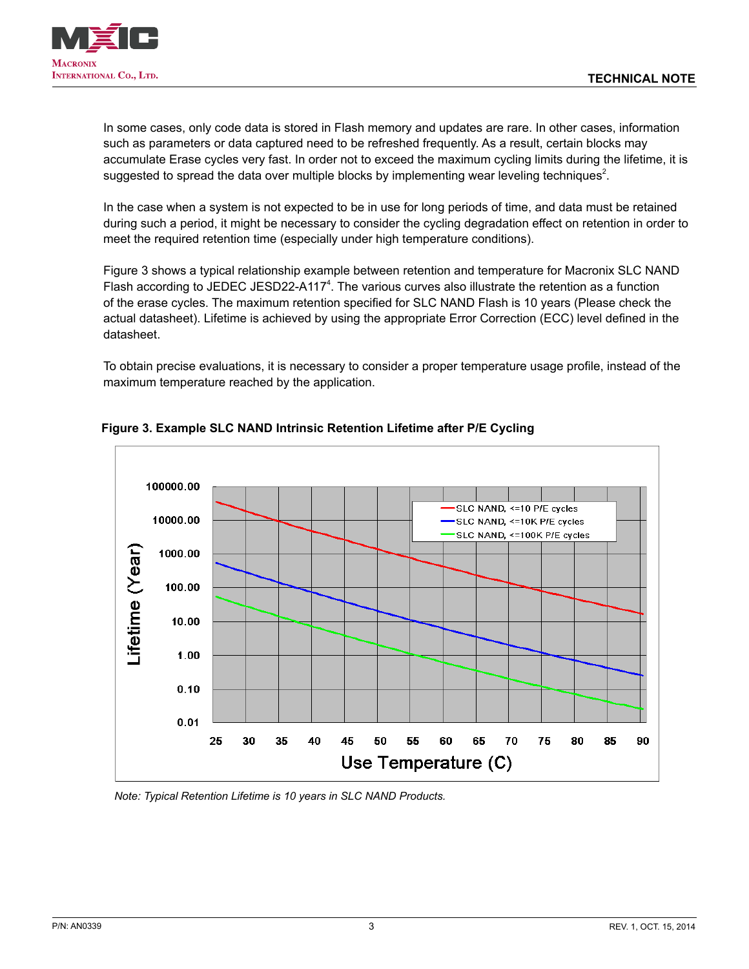

In some cases, only code data is stored in Flash memory and updates are rare. In other cases, information such as parameters or data captured need to be refreshed frequently. As a result, certain blocks may accumulate Erase cycles very fast. In order not to exceed the maximum cycling limits during the lifetime, it is suggested to spread the data over multiple blocks by implementing wear leveling techniques<sup>2</sup>.

In the case when a system is not expected to be in use for long periods of time, and data must be retained during such a period, it might be necessary to consider the cycling degradation effect on retention in order to meet the required retention time (especially under high temperature conditions).

Figure 3 shows a typical relationship example between retention and temperature for Macronix SLC NAND Flash according to JEDEC JESD22-A117<sup>4</sup>. The various curves also illustrate the retention as a function of the erase cycles. The maximum retention specified for SLC NAND Flash is 10 years (Please check the actual datasheet). Lifetime is achieved by using the appropriate Error Correction (ECC) level defined in the datasheet.

To obtain precise evaluations, it is necessary to consider a proper temperature usage profile, instead of the maximum temperature reached by the application.

<span id="page-2-0"></span>

#### **Figure 3. Example SLC NAND Intrinsic Retention Lifetime after P/E Cycling**

*Note: Typical Retention Lifetime is 10 years in SLC NAND Products.*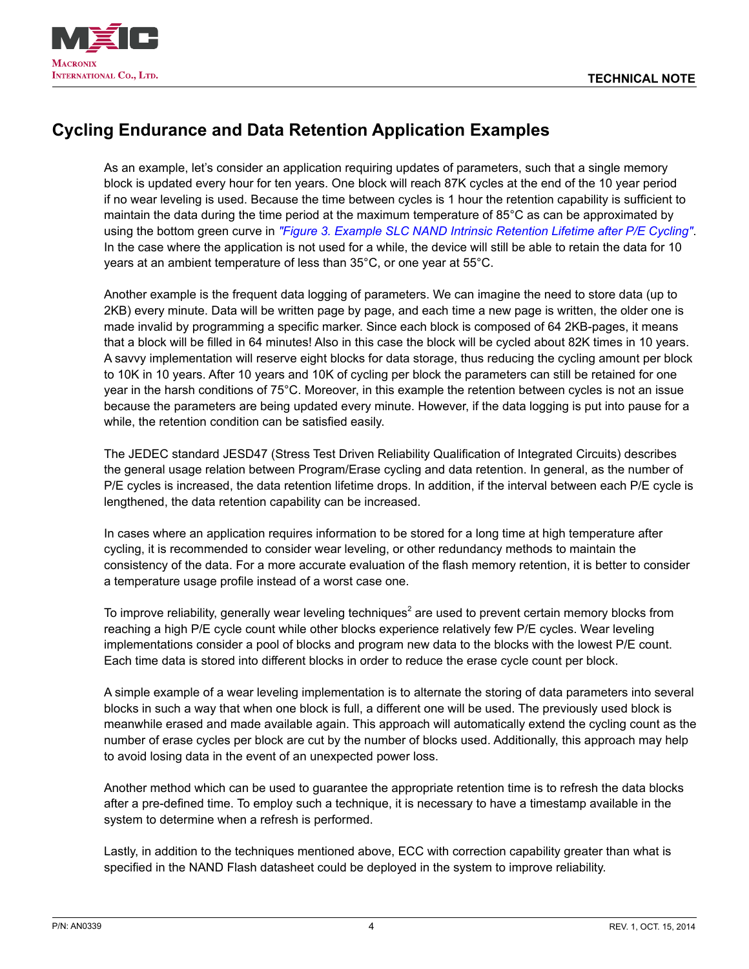



## **Cycling Endurance and Data Retention Application Examples**

As an example, let's consider an application requiring updates of parameters, such that a single memory block is updated every hour for ten years. One block will reach 87K cycles at the end of the 10 year period if no wear leveling is used. Because the time between cycles is 1 hour the retention capability is sufficient to maintain the data during the time period at the maximum temperature of 85°C as can be approximated by using the bottom green curve in *["Figure 3. Example SLC NAND Intrinsic Retention Lifetime after P/E Cycling"](#page-2-0)*. In the case where the application is not used for a while, the device will still be able to retain the data for 10 years at an ambient temperature of less than 35°C, or one year at 55°C.

Another example is the frequent data logging of parameters. We can imagine the need to store data (up to 2KB) every minute. Data will be written page by page, and each time a new page is written, the older one is made invalid by programming a specific marker. Since each block is composed of 64 2KB-pages, it means that a block will be filled in 64 minutes! Also in this case the block will be cycled about 82K times in 10 years. A savvy implementation will reserve eight blocks for data storage, thus reducing the cycling amount per block to 10K in 10 years. After 10 years and 10K of cycling per block the parameters can still be retained for one year in the harsh conditions of 75°C. Moreover, in this example the retention between cycles is not an issue because the parameters are being updated every minute. However, if the data logging is put into pause for a while, the retention condition can be satisfied easily.

The JEDEC standard JESD47 (Stress Test Driven Reliability Qualification of Integrated Circuits) describes the general usage relation between Program/Erase cycling and data retention. In general, as the number of P/E cycles is increased, the data retention lifetime drops. In addition, if the interval between each P/E cycle is lengthened, the data retention capability can be increased.

In cases where an application requires information to be stored for a long time at high temperature after cycling, it is recommended to consider wear leveling, or other redundancy methods to maintain the consistency of the data. For a more accurate evaluation of the flash memory retention, it is better to consider a temperature usage profile instead of a worst case one.

To improve reliability, generally wear leveling techniques<sup>2</sup> are used to prevent certain memory blocks from reaching a high P/E cycle count while other blocks experience relatively few P/E cycles. Wear leveling implementations consider a pool of blocks and program new data to the blocks with the lowest P/E count. Each time data is stored into different blocks in order to reduce the erase cycle count per block.

A simple example of a wear leveling implementation is to alternate the storing of data parameters into several blocks in such a way that when one block is full, a different one will be used. The previously used block is meanwhile erased and made available again. This approach will automatically extend the cycling count as the number of erase cycles per block are cut by the number of blocks used. Additionally, this approach may help to avoid losing data in the event of an unexpected power loss.

Another method which can be used to guarantee the appropriate retention time is to refresh the data blocks after a pre-defined time. To employ such a technique, it is necessary to have a timestamp available in the system to determine when a refresh is performed.

Lastly, in addition to the techniques mentioned above, ECC with correction capability greater than what is specified in the NAND Flash datasheet could be deployed in the system to improve reliability.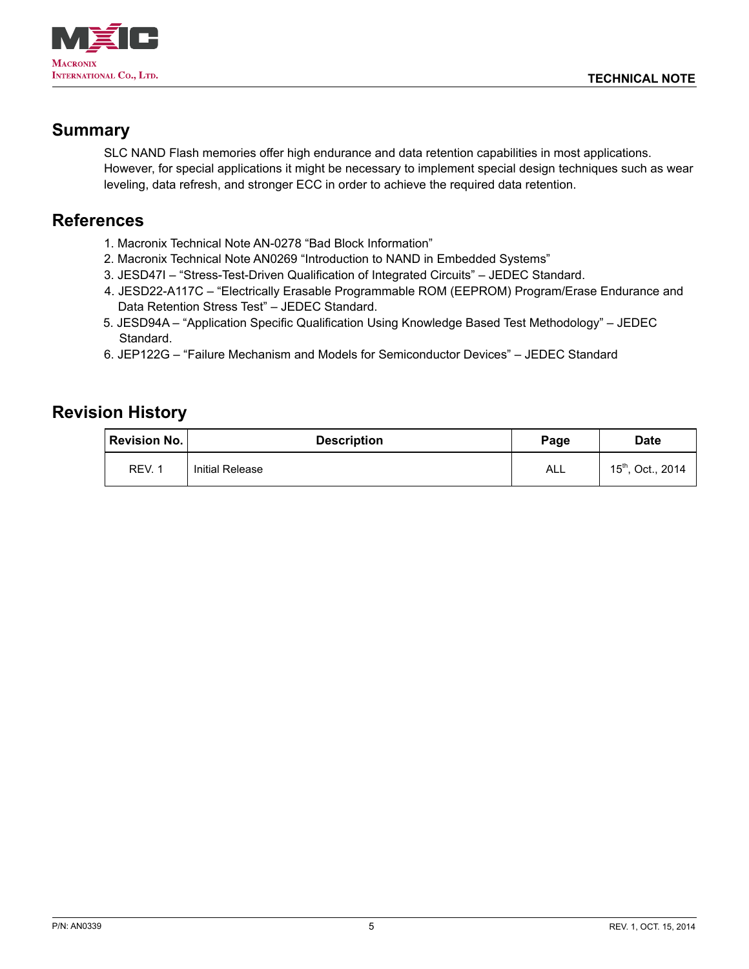

### **Summary**

SLC NAND Flash memories offer high endurance and data retention capabilities in most applications. However, for special applications it might be necessary to implement special design techniques such as wear leveling, data refresh, and stronger ECC in order to achieve the required data retention.

### **References**

- 1. Macronix Technical Note AN-0278 "Bad Block Information"
- 2. Macronix Technical Note AN0269 "Introduction to NAND in Embedded Systems"
- 3. JESD47I "Stress-Test-Driven Qualification of Integrated Circuits" JEDEC Standard.
- 4. JESD22-A117C "Electrically Erasable Programmable ROM (EEPROM) Program/Erase Endurance and Data Retention Stress Test" – JEDEC Standard.
- 5. JESD94A "Application Specific Qualification Using Knowledge Based Test Methodology" JEDEC Standard.
- 6. JEP122G "Failure Mechanism and Models for Semiconductor Devices" JEDEC Standard

## **Revision History**

| <b>Revision No.</b> | <b>Description</b> | Page | <b>Date</b>                   |
|---------------------|--------------------|------|-------------------------------|
| REV. 1              | Initial Release    | ALL  | 15 <sup>th</sup> , Oct., 2014 |